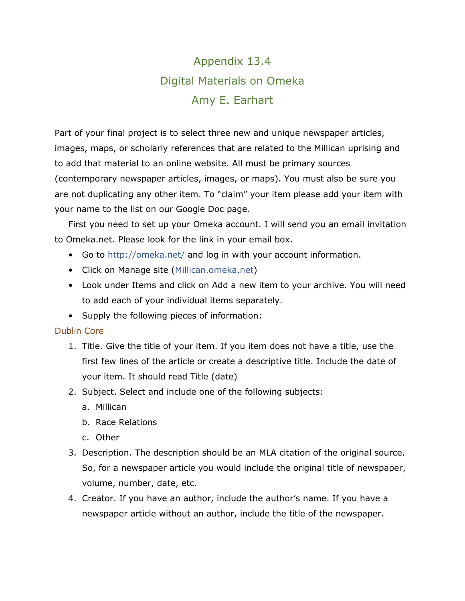# Appendix 13.4 Digital Materials on Omeka Amy E. Earhart

Part of your final project is to select three new and unique newspaper articles, images, maps, or scholarly references that are related to the Millican uprising and to add that material to an online website. All must be primary sources (contemporary newspaper articles, images, or maps). You must also be sure you are not duplicating any other item. To "claim" your item please add your item with your name to the list on our Google Doc page.

First you need to set up your Omeka account. I will send you an email invitation to Omeka.net. Please look for the link in your email box.

- Go to<http://omeka.net/> and log in with your account information.
- Click on Manage site (Millican.omeka.net)
- Look under Items and click on Add a new item to your archive. You will need to add each of your individual items separately.
- Supply the following pieces of information:

### Dublin Core

- 1. Title. Give the title of your item. If you item does not have a title, use the first few lines of the article or create a descriptive title. Include the date of your item. It should read Title (date)
- 2. Subject. Select and include one of the following subjects:
	- a. Millican
	- b. Race Relations
	- c. Other
- 3. Description. The description should be an MLA citation of the original source. So, for a newspaper article you would include the original title of newspaper, volume, number, date, etc.
- 4. Creator. If you have an author, include the author's name. If you have a newspaper article without an author, include the title of the newspaper.